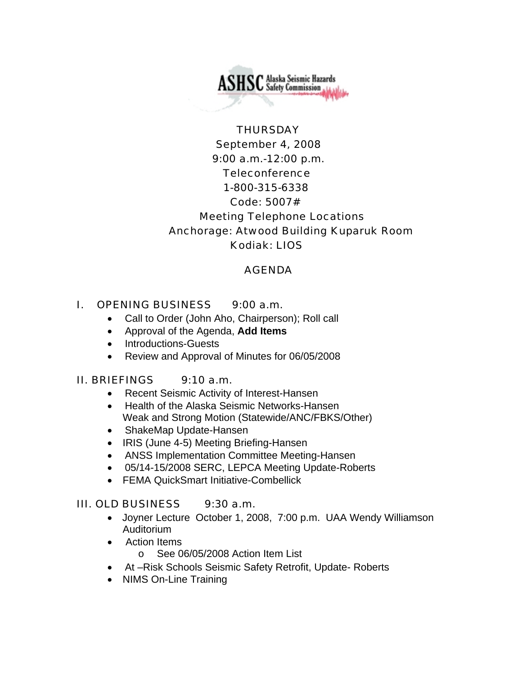**ASHSC** Alaska Seismic Hazards

# **THURSDAY** September 4, 2008 9:00 a.m.-12:00 p.m. Teleconference 1-800-315-6338 Code: 5007# Meeting Telephone Locations Anchorage: Atwood Building Kuparuk Room Kodiak: LIOS

### AGENDA

### I. OPENING BUSINESS 9:00 a.m.

- Call to Order (John Aho, Chairperson); Roll call
- Approval of the Agenda, **Add Items**
- Introductions-Guests
- Review and Approval of Minutes for 06/05/2008

### II. BRIEFINGS 9:10 a.m.

- Recent Seismic Activity of Interest-Hansen
- Health of the Alaska Seismic Networks-Hansen Weak and Strong Motion (Statewide/ANC/FBKS/Other)
- ShakeMap Update-Hansen
- IRIS (June 4-5) Meeting Briefing-Hansen
- ANSS Implementation Committee Meeting-Hansen
- 05/14-15/2008 SERC, LEPCA Meeting Update-Roberts
- FEMA QuickSmart Initiative-Combellick

# III. OLD BUSINESS 9:30 a.m.

- Joyner Lecture October 1, 2008, 7:00 p.m. UAA Wendy Williamson Auditorium
- Action Items
	- o See 06/05/2008 Action Item List
- At –Risk Schools Seismic Safety Retrofit, Update- Roberts
- NIMS On-Line Training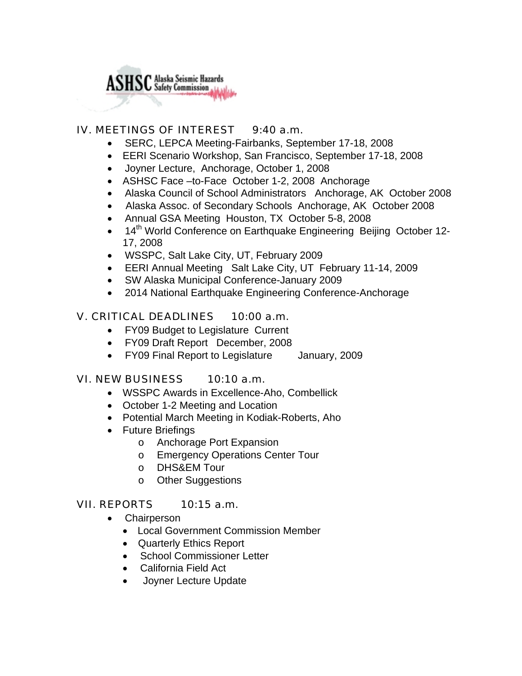

### IV. MEETINGS OF INTEREST 9:40 a.m.

- SERC, LEPCA Meeting-Fairbanks, September 17-18, 2008
- EERI Scenario Workshop, San Francisco, September 17-18, 2008
- Joyner Lecture, Anchorage, October 1, 2008
- ASHSC Face –to-Face October 1-2, 2008 Anchorage
- Alaska Council of School Administrators Anchorage, AK October 2008
- Alaska Assoc. of Secondary Schools Anchorage, AK October 2008
- Annual GSA Meeting Houston, TX October 5-8, 2008
- 14<sup>th</sup> World Conference on Earthquake Engineering Beijing October 12-17, 2008
- WSSPC, Salt Lake City, UT, February 2009
- EERI Annual Meeting Salt Lake City, UT February 11-14, 2009
- SW Alaska Municipal Conference-January 2009
- 2014 National Earthquake Engineering Conference-Anchorage

# V. CRITICAL DEADLINES 10:00 a.m.

- FY09 Budget to Legislature Current
- FY09 Draft Report December, 2008
- FY09 Final Report to Legislature January, 2009

### VI. NEW BUSINESS 10:10 a.m.

- WSSPC Awards in Excellence-Aho, Combellick
- October 1-2 Meeting and Location
- Potential March Meeting in Kodiak-Roberts, Aho
- Future Briefings
	- o Anchorage Port Expansion
	- o Emergency Operations Center Tour
	- o DHS&EM Tour
	- o Other Suggestions

### VII. REPORTS 10:15 a.m.

- Chairperson
	- Local Government Commission Member
	- Quarterly Ethics Report
	- School Commissioner Letter
	- California Field Act
	- Joyner Lecture Update